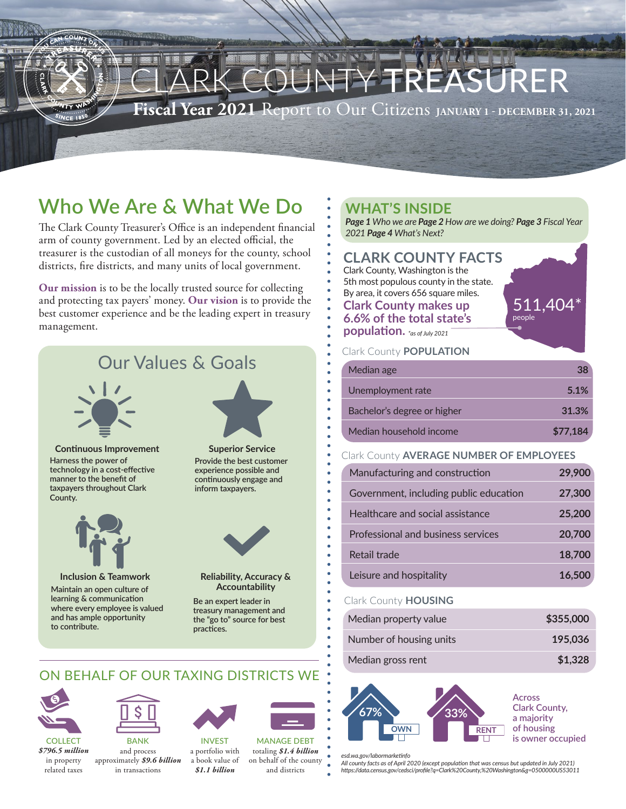

# **Who We Are & What We Do**

The Clark County Treasurer's Office is an independent financial arm of county government. Led by an elected official, the treasurer is the custodian of all moneys for the county, school districts, fire districts, and many units of local government.

**Our mission** is to be the locally trusted source for collecting and protecting tax payers' money. **Our vision** is to provide the best customer experience and be the leading expert in treasury management.

## Our Values & Goals



**Harness the power of technology in a cost-effective manner to the benefit of taxpayers throughout Clark County. Continuous Improvement Superior Service** 



**Inclusion & Teamwork Reliability, Accuracy &** 

**Maintain an open culture of learning & communication where every employee is valued and has ample opportunity to contribute.**



**Provide the best customer experience possible and continuously engage and inform taxpayers.**



**Accountability**

**Be an expert leader in treasury management and the "go to" source for best practices.**

## ON BEHALF OF OUR TAXING DISTRICTS WE



COLLECT *\$796.5 million* in property related taxes



**BANK** and process approximately *\$9.6 billion* in transactions



*\$1.1 billion* MANAGE DEBT totaling *\$1.4 billion* on behalf of the county and districts



*Page 1 Who we are Page 2 How are we doing? Page 3 Fiscal Year 2021 Page 4 What's Next?*

## **CLARK COUNTY FACTS**

Clark County, Washington is the

- 5th most populous county in the state.
- By area, it covers 656 square miles.

### **Clark County makes up**

- **6.6% of the total state's**
- **population.** *\*as of July 2021*

### Clark County **POPULATION**

| Median age                  | 38       |
|-----------------------------|----------|
| Unemployment rate           | 5.1%     |
| Bachelor's degree or higher | 31.3%    |
| Median household income     | \$77,184 |

### Clark County **AVERAGE NUMBER OF EMPLOYEES**

| Manufacturing and construction         | 29,900 |
|----------------------------------------|--------|
| Government, including public education | 27,300 |
| Healthcare and social assistance       | 25,200 |
| Professional and business services     | 20,700 |
| Retail trade                           | 18,700 |
| Leisure and hospitality                | 16.500 |

### Clark County **HOUSING**

| Median property value   | \$355,000 |
|-------------------------|-----------|
| Number of housing units | 195,036   |
| Median gross rent       | \$1,328   |



*esd.wa.gov/labormarketinfo*

*All county facts as of April 2020 (except population that was census but updated in July 2021) https://data.census.gov/cedsci/profile?q=Clark%20County,%20Washington&g=0500000US53011*

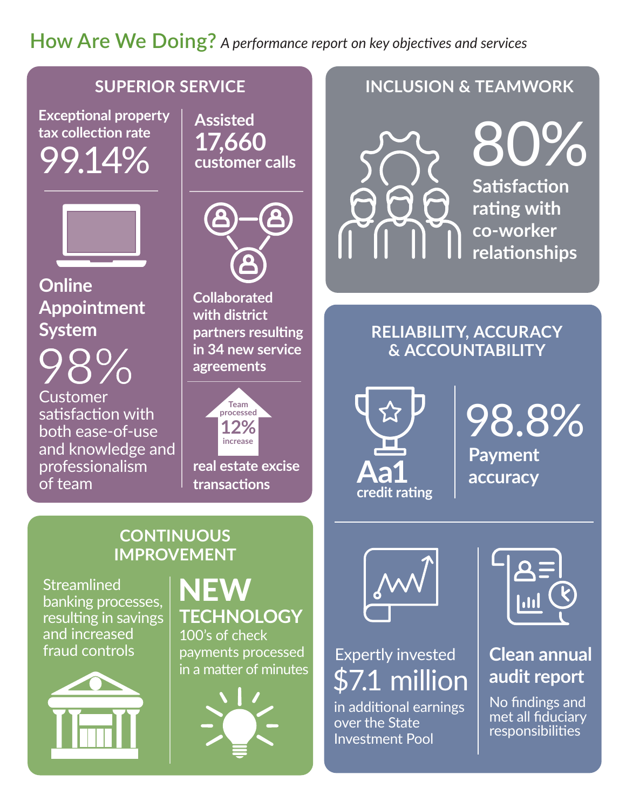# **How Are We Doing?** *A performance report on key objectives and services*

## **SUPERIOR SERVICE**

**Exceptional property tax collection rate** 9.14



**Online Appointment System**

Customer satisfaction with both ease-of-use and knowledge and professionalism of team

**Assisted 17,660 customer calls**



**Collaborated with district partners resulting in 34 new service agreements**



**real estate excise transactions**

## **INCLUSION & TEAMWORK**



## **RELIABILITY, ACCURACY & ACCOUNTABILITY**



98.8% **Payment accuracy** 

## **CONTINUOUS IMPROVEMENT**

**Streamlined** banking processes, resulting in savings and increased fraud controls



# NEW **TECHNOLOGY**

100's of check payments processed in a matter of minutes





# Expertly invested \$7.1 million

in additional earnings over the State Investment Pool



# **Clean annual audit report**

No findings and met all fiduciary responsibilities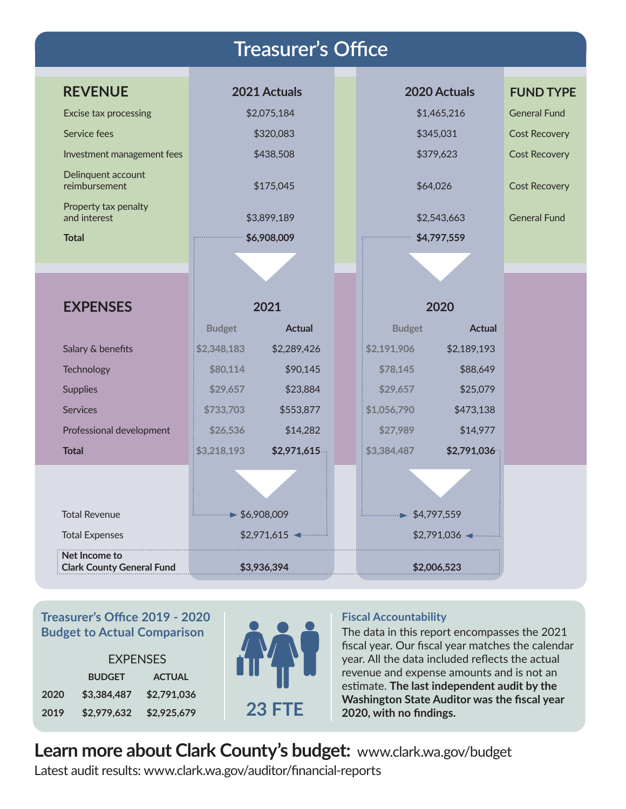| <b>Treasurer's Office</b>                         |                           |               |  |                           |               |                      |
|---------------------------------------------------|---------------------------|---------------|--|---------------------------|---------------|----------------------|
|                                                   |                           |               |  |                           |               |                      |
| <b>REVENUE</b>                                    |                           | 2021 Actuals  |  |                           | 2020 Actuals  | <b>FUND TYPE</b>     |
| <b>Excise tax processing</b>                      |                           | \$2,075,184   |  |                           | \$1,465,216   | <b>General Fund</b>  |
| Service fees                                      | \$320,083                 |               |  |                           | \$345,031     | <b>Cost Recovery</b> |
| Investment management fees                        | \$438,508                 |               |  |                           | \$379,623     | <b>Cost Recovery</b> |
| Delinquent account<br>reimbursement               | \$175,045                 |               |  |                           | \$64,026      | <b>Cost Recovery</b> |
| Property tax penalty<br>and interest              | \$3,899,189               |               |  |                           | \$2,543,663   | <b>General Fund</b>  |
| <b>Total</b>                                      | \$6,908,009               |               |  | \$4,797,559               |               |                      |
|                                                   |                           |               |  |                           |               |                      |
|                                                   |                           |               |  |                           |               |                      |
| <b>EXPENSES</b>                                   | 2021                      |               |  | 2020                      |               |                      |
|                                                   | <b>Budget</b>             | <b>Actual</b> |  | <b>Budget</b>             | <b>Actual</b> |                      |
| Salary & benefits                                 | \$2,348,183               | \$2,289,426   |  | \$2,191,906               | \$2,189,193   |                      |
| Technology                                        | \$80,114                  | \$90,145      |  | \$78,145                  | \$88,649      |                      |
| <b>Supplies</b>                                   | \$29,657                  | \$23,884      |  | \$29,657                  | \$25,079      |                      |
| <b>Services</b>                                   | \$733,703                 | \$553,877     |  | \$1,056,790               | \$473,138     |                      |
| Professional development                          | \$26,536                  | \$14,282      |  | \$27,989                  | \$14,977      |                      |
| <b>Total</b>                                      | \$3,218,193               | \$2,971,615   |  | \$3,384,487               | \$2,791,036   |                      |
|                                                   |                           |               |  |                           |               |                      |
| <b>Total Revenue</b>                              | $\frac{1}{2}$ \$6,908,009 |               |  | $\frac{1}{2}$ \$4,797,559 |               |                      |
| <b>Total Expenses</b>                             | \$2,971,615               |               |  | \$2,791,036               |               |                      |
| Net Income to<br><b>Clark County General Fund</b> | \$3,936,394               |               |  |                           | \$2,006,523   |                      |

## **Treasurer's Office 2019 - 2020 Budget to Actual Comparison**

|      | <b>FXPFNSFS</b> |               |  |  |
|------|-----------------|---------------|--|--|
|      | <b>BUDGET</b>   | <b>ACTUAL</b> |  |  |
| 2020 | \$3,384,487     | \$2.791.036   |  |  |
| 2019 | \$2,979.632     | \$2.925.679   |  |  |



## **Fiscal Accountability**

The data in this report encompasses the 2021 fiscal year. Our fiscal year matches the calendar year. All the data included reflects the actual revenue and expense amounts and is not an estimate. **The last independent audit by the Washington State Auditor was the fiscal year 2020, with no findings.**

# **Learn more about Clark County's budget:** [www.clark.wa.gov/budget](http://www.clark.wa.gov/budget)

Latest audit results: [www.clark.wa.gov/auditor/financial-reports](http://www.clark.wa.gov/auditor/financial-reports)